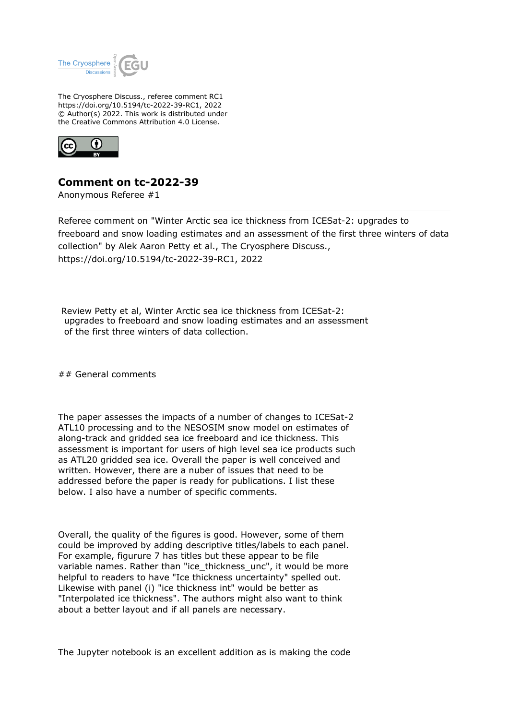

The Cryosphere Discuss., referee comment RC1 https://doi.org/10.5194/tc-2022-39-RC1, 2022 © Author(s) 2022. This work is distributed under the Creative Commons Attribution 4.0 License.



## **Comment on tc-2022-39**

Anonymous Referee #1

Referee comment on "Winter Arctic sea ice thickness from ICESat-2: upgrades to freeboard and snow loading estimates and an assessment of the first three winters of data collection" by Alek Aaron Petty et al., The Cryosphere Discuss., https://doi.org/10.5194/tc-2022-39-RC1, 2022

 Review Petty et al, Winter Arctic sea ice thickness from ICESat-2: upgrades to freeboard and snow loading estimates and an assessment of the first three winters of data collection.

## General comments

The paper assesses the impacts of a number of changes to ICESat-2 ATL10 processing and to the NESOSIM snow model on estimates of along-track and gridded sea ice freeboard and ice thickness. This assessment is important for users of high level sea ice products such as ATL20 gridded sea ice. Overall the paper is well conceived and written. However, there are a nuber of issues that need to be addressed before the paper is ready for publications. I list these below. I also have a number of specific comments.

Overall, the quality of the figures is good. However, some of them could be improved by adding descriptive titles/labels to each panel. For example, figurure 7 has titles but these appear to be file variable names. Rather than "ice\_thickness\_unc", it would be more helpful to readers to have "Ice thickness uncertainty" spelled out. Likewise with panel (i) "ice thickness int" would be better as "Interpolated ice thickness". The authors might also want to think about a better layout and if all panels are necessary.

The Jupyter notebook is an excellent addition as is making the code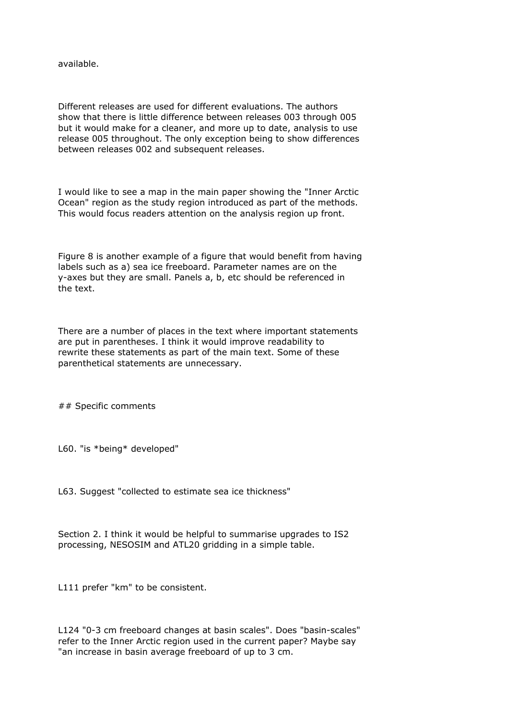available.

Different releases are used for different evaluations. The authors show that there is little difference between releases 003 through 005 but it would make for a cleaner, and more up to date, analysis to use release 005 throughout. The only exception being to show differences between releases 002 and subsequent releases.

I would like to see a map in the main paper showing the "Inner Arctic Ocean" region as the study region introduced as part of the methods. This would focus readers attention on the analysis region up front.

Figure 8 is another example of a figure that would benefit from having labels such as a) sea ice freeboard. Parameter names are on the y-axes but they are small. Panels a, b, etc should be referenced in the text.

There are a number of places in the text where important statements are put in parentheses. I think it would improve readability to rewrite these statements as part of the main text. Some of these parenthetical statements are unnecessary.

## Specific comments

L60. "is \*being\* developed"

L63. Suggest "collected to estimate sea ice thickness"

Section 2. I think it would be helpful to summarise upgrades to IS2 processing, NESOSIM and ATL20 gridding in a simple table.

L111 prefer "km" to be consistent.

L124 "0-3 cm freeboard changes at basin scales". Does "basin-scales" refer to the Inner Arctic region used in the current paper? Maybe say "an increase in basin average freeboard of up to 3 cm.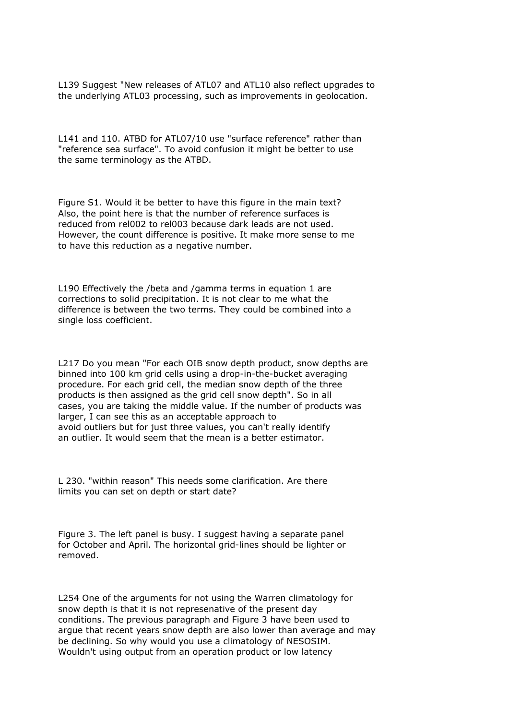L139 Suggest "New releases of ATL07 and ATL10 also reflect upgrades to the underlying ATL03 processing, such as improvements in geolocation.

L141 and 110. ATBD for ATL07/10 use "surface reference" rather than "reference sea surface". To avoid confusion it might be better to use the same terminology as the ATBD.

Figure S1. Would it be better to have this figure in the main text? Also, the point here is that the number of reference surfaces is reduced from rel002 to rel003 because dark leads are not used. However, the count difference is positive. It make more sense to me to have this reduction as a negative number.

L190 Effectively the /beta and /gamma terms in equation 1 are corrections to solid precipitation. It is not clear to me what the difference is between the two terms. They could be combined into a single loss coefficient.

L217 Do you mean "For each OIB snow depth product, snow depths are binned into 100 km grid cells using a drop-in-the-bucket averaging procedure. For each grid cell, the median snow depth of the three products is then assigned as the grid cell snow depth". So in all cases, you are taking the middle value. If the number of products was larger, I can see this as an acceptable approach to avoid outliers but for just three values, you can't really identify an outlier. It would seem that the mean is a better estimator.

L 230. "within reason" This needs some clarification. Are there limits you can set on depth or start date?

Figure 3. The left panel is busy. I suggest having a separate panel for October and April. The horizontal grid-lines should be lighter or removed.

L254 One of the arguments for not using the Warren climatology for snow depth is that it is not represenative of the present day conditions. The previous paragraph and Figure 3 have been used to argue that recent years snow depth are also lower than average and may be declining. So why would you use a climatology of NESOSIM. Wouldn't using output from an operation product or low latency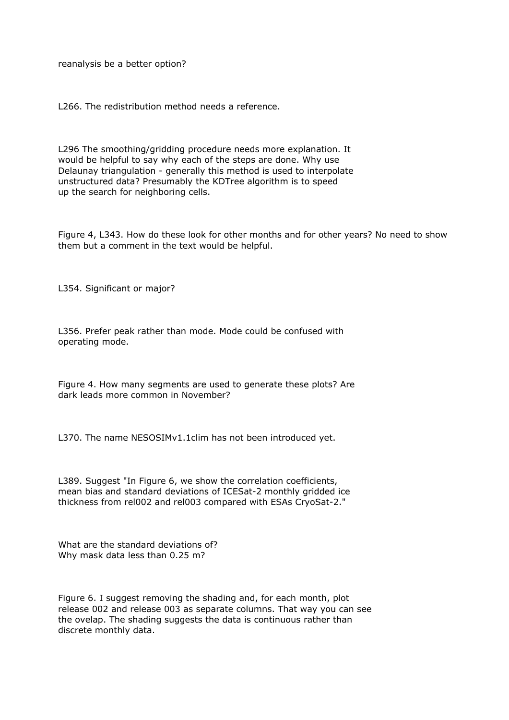reanalysis be a better option?

L266. The redistribution method needs a reference.

L296 The smoothing/gridding procedure needs more explanation. It would be helpful to say why each of the steps are done. Why use Delaunay triangulation - generally this method is used to interpolate unstructured data? Presumably the KDTree algorithm is to speed up the search for neighboring cells.

Figure 4, L343. How do these look for other months and for other years? No need to show them but a comment in the text would be helpful.

L354. Significant or major?

L356. Prefer peak rather than mode. Mode could be confused with operating mode.

Figure 4. How many segments are used to generate these plots? Are dark leads more common in November?

L370. The name NESOSIMv1.1clim has not been introduced yet.

L389. Suggest "In Figure 6, we show the correlation coefficients, mean bias and standard deviations of ICESat-2 monthly gridded ice thickness from rel002 and rel003 compared with ESAs CryoSat-2."

What are the standard deviations of? Why mask data less than 0.25 m?

Figure 6. I suggest removing the shading and, for each month, plot release 002 and release 003 as separate columns. That way you can see the ovelap. The shading suggests the data is continuous rather than discrete monthly data.